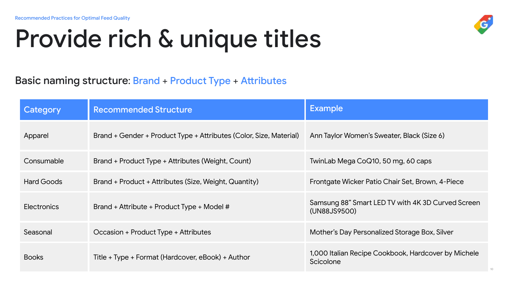## Provide rich & unique titles



| Category     | <b>Recommended Structure</b>                                       | <b>Example</b>                                                         |
|--------------|--------------------------------------------------------------------|------------------------------------------------------------------------|
| Apparel      | Brand + Gender + Product Type + Attributes (Color, Size, Material) | Ann Taylor Women's Sweater, Black (Size 6)                             |
| Consumable   | Brand + Product Type + Attributes (Weight, Count)                  | TwinLab Mega CoQ10, 50 mg, 60 caps                                     |
| Hard Goods   | Brand + Product + Attributes (Size, Weight, Quantity)              | Frontgate Wicker Patio Chair Set, Brown, 4-Piece                       |
| Electronics  | Brand + Attribute + Product Type + Model #                         | Samsung 88" Smart LED TV with 4K 3D Curved Screen<br>(UN88JS9500)      |
| Seasonal     | Occasion + Product Type + Attributes                               | Mother's Day Personalized Storage Box, Silver                          |
| <b>Books</b> | Title + Type + Format (Hardcover, eBook) + Author                  | 1,000 Italian Recipe Cookbook, Hardcover by Michele<br>Scicolone<br>10 |